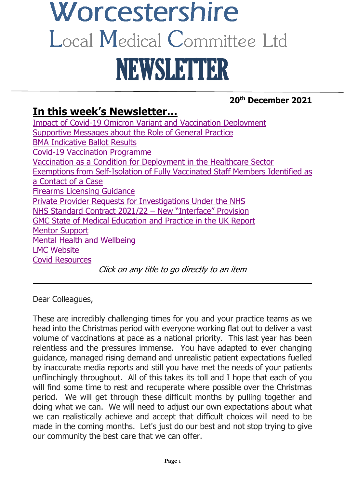# Worcestershire Local Medical Committee Ltd NEWSLETTER

# **20th December 2021**

# **In this week's Newsletter…**

[Impact of Covid-19 Omicron Variant and Vaccination Deployment](#page-1-0) [Supportive Messages about the Role of General Practice](#page-2-0) BMA [Indicative Ballot Results](#page-3-0) [Covid-19 Vaccination Programme](#page-3-1) Vaccination as a [Condition for Deployment in the Healthcare Sector](#page-4-0) [Exemptions from Self-Isolation of Fully Vaccinated Staff Members Identified as](#page-4-1)  a [Contact of a](#page-4-1) Case [Firearms Licensing Guidance](#page-5-0) [Private Provider Requests for Investigations Under the NHS](#page-5-1) NHS [Standard Contract 2021/22](#page-5-2) – New "Interface" Provision GMC [State of Medical Education and Practice in the UK](#page-6-0) Report [Mentor Support](#page-7-0) [Mental Health and Wellbeing](#page-7-1) [LMC Website](#page-8-0) [Covid Resources](#page-8-1) Click on any title to go directly to an item

 $\frac{1}{2}$  ,  $\frac{1}{2}$  ,  $\frac{1}{2}$  ,  $\frac{1}{2}$  ,  $\frac{1}{2}$  ,  $\frac{1}{2}$  ,  $\frac{1}{2}$  ,  $\frac{1}{2}$  ,  $\frac{1}{2}$  ,  $\frac{1}{2}$  ,  $\frac{1}{2}$  ,  $\frac{1}{2}$  ,  $\frac{1}{2}$  ,  $\frac{1}{2}$  ,  $\frac{1}{2}$  ,  $\frac{1}{2}$  ,  $\frac{1}{2}$  ,  $\frac{1}{2}$  ,  $\frac{1$ 

Dear Colleagues,

These are incredibly challenging times for you and your practice teams as we head into the Christmas period with everyone working flat out to deliver a vast volume of vaccinations at pace as a national priority. This last year has been relentless and the pressures immense. You have adapted to ever changing guidance, managed rising demand and unrealistic patient expectations fuelled by inaccurate media reports and still you have met the needs of your patients unflinchingly throughout. All of this takes its toll and I hope that each of you will find some time to rest and recuperate where possible over the Christmas period. We will get through these difficult months by pulling together and doing what we can. We will need to adjust our own expectations about what we can realistically achieve and accept that difficult choices will need to be made in the coming months. Let's just do our best and not stop trying to give our community the best care that we can offer.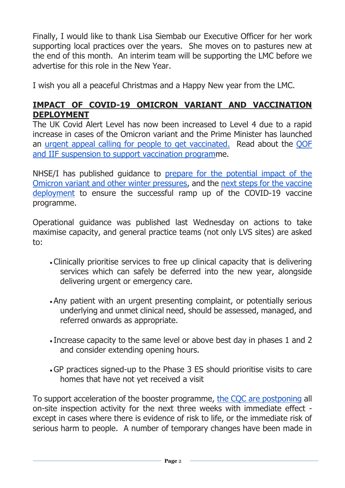Finally, I would like to thank Lisa Siembab our Executive Officer for her work supporting local practices over the years. She moves on to pastures new at the end of this month. An interim team will be supporting the LMC before we advertise for this role in the New Year.

I wish you all a peaceful Christmas and a Happy New year from the LMC.

#### <span id="page-1-0"></span>**IMPACT OF COVID-19 OMICRON VARIANT AND VACCINATION DEPLOYMENT**

The UK Covid Alert Level has now been increased to Level 4 due to a rapid increase in cases of the Omicron variant and the Prime Minister has launched an [urgent appeal calling for people to get vaccinated.](https://www.gov.uk/government/news/urgent-omicron-appeal-get-boosted-now) Read about the [QOF](https://www.bma.org.uk/bma-media-centre/bma-hopes-gp-booster-plan-can-free-up-time-for-staff-to-prioritise-patients-most-in-need)  [and IIF suspension to support vaccination programm](https://www.bma.org.uk/bma-media-centre/bma-hopes-gp-booster-plan-can-free-up-time-for-staff-to-prioritise-patients-most-in-need)e.

NHSE/I has published guidance to [prepare for the potential impact of the](https://www.england.nhs.uk/coronavirus/publication/preparing-the-nhs-for-the-potential-impact-of-the-omicron-variant-and-other-winter-pressures/)  [Omicron variant and other winter pressures,](https://www.england.nhs.uk/coronavirus/publication/preparing-the-nhs-for-the-potential-impact-of-the-omicron-variant-and-other-winter-pressures/) and the [next steps for the vaccine](https://www.england.nhs.uk/coronavirus/wp-content/uploads/sites/52/2021/12/C1488-letter-next-steps-for-the-nhs-covid-19-vaccine-deployment.pdf)  [deployment](https://www.england.nhs.uk/coronavirus/wp-content/uploads/sites/52/2021/12/C1488-letter-next-steps-for-the-nhs-covid-19-vaccine-deployment.pdf) to ensure the successful ramp up of the COVID-19 vaccine programme.

Operational guidance was published last Wednesday on actions to take maximise capacity, and general practice teams (not only LVS sites) are asked to:

- Clinically prioritise services to free up clinical capacity that is delivering services which can safely be deferred into the new year, alongside delivering urgent or emergency care.
- Any patient with an urgent presenting complaint, or potentially serious underlying and unmet clinical need, should be assessed, managed, and referred onwards as appropriate.
- Increase capacity to the same level or above best day in phases 1 and 2 and consider extending opening hours.
- •GP practices signed-up to the Phase 3 ES should prioritise visits to care homes that have not yet received a visit

To support acceleration of the booster programme, [the CQC are postponing](https://www.cqc.org.uk/news/stories/cqc-postpone-inspections-acute-hospitals-general-practice-until-new-year-support) all on-site inspection activity for the next three weeks with immediate effect except in cases where there is evidence of risk to life, or the immediate risk of serious harm to people. A number of temporary changes have been made in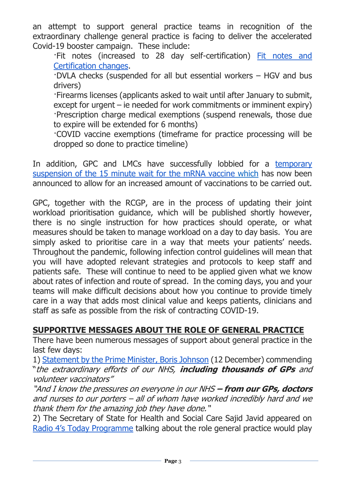an attempt to support general practice teams in recognition of the extraordinary challenge general practice is facing to deliver the accelerated Covid-19 booster campaign. These include:

·Fit notes (increased to 28 day self-certification) [Fit notes and](https://www.england.nhs.uk/coronavirus/primary-care/other-resources/primary-care-bulletin/primary-care-bulletins-december-2021/)  [Certification changes.](https://www.england.nhs.uk/coronavirus/primary-care/other-resources/primary-care-bulletin/primary-care-bulletins-december-2021/)

·DVLA checks (suspended for all but essential workers – HGV and bus drivers)

·Firearms licenses (applicants asked to wait until after January to submit, except for urgent – ie needed for work commitments or imminent expiry) ·Prescription charge medical exemptions (suspend renewals, those due to expire will be extended for 6 months)

·COVID vaccine exemptions (timeframe for practice processing will be dropped so done to practice timeline)

In addition, GPC and LMCs have successfully lobbied for a [temporary](https://www.gov.uk/government/publications/suspension-of-the-15-minute-wait-for-vaccination-with-mrna-vaccine-for-covid-19-uk-cmos-opinion/suspension-of-the-15-minute-wait-for-vaccination-with-mrna-vaccine-for-covid-19-uk-cmos-opinion)  [suspension of the 15 minute wait for the mRNA vaccine](https://www.gov.uk/government/publications/suspension-of-the-15-minute-wait-for-vaccination-with-mrna-vaccine-for-covid-19-uk-cmos-opinion/suspension-of-the-15-minute-wait-for-vaccination-with-mrna-vaccine-for-covid-19-uk-cmos-opinion) which has now been announced to allow for an increased amount of vaccinations to be carried out.

GPC, together with the RCGP, are in the process of updating their joint workload prioritisation guidance, which will be published shortly however, there is no single instruction for how practices should operate, or what measures should be taken to manage workload on a day to day basis. You are simply asked to prioritise care in a way that meets your patients' needs. Throughout the pandemic, following infection control guidelines will mean that you will have adopted relevant strategies and protocols to keep staff and patients safe. These will continue to need to be applied given what we know about rates of infection and route of spread. In the coming days, you and your teams will make difficult decisions about how you continue to provide timely care in a way that adds most clinical value and keeps patients, clinicians and staff as safe as possible from the risk of contracting COVID-19.

## <span id="page-2-0"></span>**SUPPORTIVE MESSAGES ABOUT THE ROLE OF GENERAL PRACTICE**

There have been numerous messages of support about general practice in the last few days:

1) [Statement by the Prime Minister, Boris Johnson](https://www.gov.uk/government/speeches/prime-ministers-address-to-the-nation-on-booster-jabs-12-december-2021) (12 December) commending "the extraordinary efforts of our NHS, **including thousands of GPs** and volunteer vaccinators"

"And I know the pressures on everyone in our NHS **– from our GPs, doctors** and nurses to our porters – all of whom have worked incredibly hard and we thank them for the amazing job they have done."

2) The Secretary of State for Health and Social Care Sajid Javid appeared on R[adio 4's Today Programme](https://www.bbc.co.uk/sounds/play/m0012fhr) talking about the role general practice would play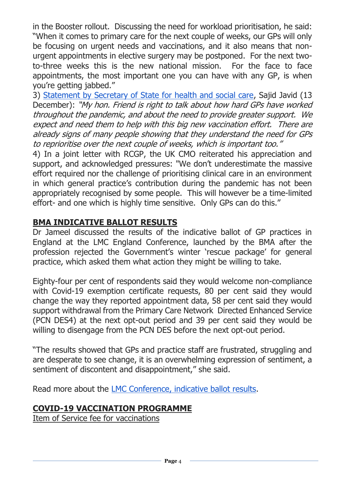in the Booster rollout. Discussing the need for workload prioritisation, he said: "When it comes to primary care for the next couple of weeks, our GPs will only be focusing on urgent needs and vaccinations, and it also means that nonurgent appointments in elective surgery may be postponed. For the next twoto-three weeks this is the new national mission. For the face to face appointments, the most important one you can have with any GP, is when you're getting jabbed."

3) [Statement by Secretary of State for health and social care,](https://hansard.parliament.uk/Commons/2021-12-13/debates/58B59E18-9B21-4E94-B296-A85E5C037964/Covid-19Update) Sajid Javid (13 December): "My hon. Friend is right to talk about how hard GPs have worked throughout the pandemic, and about the need to provide greater support. We expect and need them to help with this big new vaccination effort. There are already signs of many people showing that they understand the need for GPs to reprioritise over the next couple of weeks, which is important too."

4) In a joint letter with RCGP, the UK CMO reiterated his appreciation and support, and acknowledged pressures: "We don't underestimate the massive effort required nor the challenge of prioritising clinical care in an environment in which general practice's contribution during the pandemic has not been appropriately recognised by some people. This will however be a time-limited effort- and one which is highly time sensitive. Only GPs can do this."

## <span id="page-3-0"></span>**BMA INDICATIVE BALLOT RESULTS**

Dr Jameel discussed the results of the indicative ballot of GP practices in England at the LMC England Conference, launched by the BMA after the profession rejected the Government's winter 'rescue package' for general practice, which asked them what action they might be willing to take.

Eighty-four per cent of respondents said they would welcome non-compliance with Covid-19 exemption certificate requests, 80 per cent said they would change the way they reported appointment data, 58 per cent said they would support withdrawal from the Primary Care Network Directed Enhanced Service (PCN DES4) at the next opt-out period and 39 per cent said they would be willing to disengage from the PCN DES before the next opt-out period.

"The results showed that GPs and practice staff are frustrated, struggling and are desperate to see change, it is an overwhelming expression of sentiment, a sentiment of discontent and disappointment," she said.

Read more about the [LMC Conference, indicative ballot results.](https://www.bma.org.uk/bma-media-centre/let-s-build-general-practice-back-better-dr-farah-jameel-delivers-inaugural-speech-as-chair-of-bma-s-england-gp-committee)

# <span id="page-3-1"></span>**COVID-19 VACCINATION PROGRAMME**

Item of Service fee for vaccinations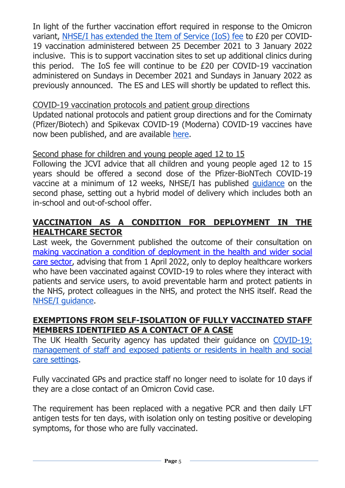In light of the further vaccination effort required in response to the Omicron variant, [NHSE/I has extended the Item of Service \(IoS\) fee](https://www.england.nhs.uk/coronavirus/primary-care/other-resources/primary-care-bulletin/primary-care-bulletins-december-2021/?utm_source=The%20British%20Medical%20Association&utm_medium=email&utm_campaign=12875582_GP%20ENEWSLETTER%2016122021&utm_content=N%EF%BB%BFHSE%2FI%20has%20now%20extended%20the%20IoS%C2%A0%28Item%20of%20Service%29%20fee&dm_t=0,0,0,0,0) to £20 per COVID-19 vaccination administered between 25 December 2021 to 3 January 2022 inclusive. This is to support vaccination sites to set up additional clinics during this period. The IoS fee will continue to be £20 per COVID-19 vaccination administered on Sundays in December 2021 and Sundays in January 2022 as previously announced. The ES and LES will shortly be updated to reflect this.

#### COVID-19 vaccination protocols and patient group directions

Updated national protocols and patient group directions and for the Comirnaty (Pfizer/Biotech) and Spikevax COVID-19 (Moderna) COVID-19 vaccines have now been published, and are available [here.](https://www.gov.uk/government/collections/covid-19-vaccination-programme#protocols-and-patient-group-directions-(pgds))

#### Second phase for children and young people aged 12 to 15

Following the JCVI advice that all children and young people aged 12 to 15 years should be offered a second dose of the Pfizer-BioNTech COVID-19 vaccine at a minimum of 12 weeks, NHSE/I has published [guidance](https://www.england.nhs.uk/coronavirus/publication/second-phase-for-children-and-young-people-aged-12-to-15-next-steps-for-covid-19-vaccine-deployment/) on the second phase, setting out a hybrid model of delivery which includes both an in-school and out-of-school offer.

## <span id="page-4-0"></span>**VACCINATION AS A CONDITION FOR DEPLOYMENT IN THE HEALTHCARE SECTOR**

Last week, the Government published the outcome of their consultation on [making vaccination a condition of deployment in the health and wider social](https://www.gov.uk/government/consultations/making-vaccination-a-condition-of-deployment-in-the-health-and-wider-social-care-sector?utm_medium=email&utm_campaign=govuk-notifications&utm_source=ef7d072d-8c65-4e17-8569-5ce2a46f74ee&utm_content=daily)  [care sector,](https://www.gov.uk/government/consultations/making-vaccination-a-condition-of-deployment-in-the-health-and-wider-social-care-sector?utm_medium=email&utm_campaign=govuk-notifications&utm_source=ef7d072d-8c65-4e17-8569-5ce2a46f74ee&utm_content=daily) advising that from 1 April 2022, only to deploy healthcare workers who have been vaccinated against COVID-19 to roles where they interact with patients and service users, to avoid preventable harm and protect patients in the NHS, protect colleagues in the NHS, and protect the NHS itself. Read the [NHSE/I guidance.](https://www.england.nhs.uk/coronavirus/publication/vaccination-as-a-condition-of-deployment-for-healthcare-workers-phase-1-planning-and-preparation)

#### <span id="page-4-1"></span>**EXEMPTIONS FROM SELF-ISOLATION OF FULLY VACCINATED STAFF MEMBERS IDENTIFIED AS A CONTACT OF A CASE**

The UK Health Security agency has updated their guidance on [COVID-19:](https://www.gov.uk/government/publications/covid-19-management-of-exposed-healthcare-workers-and-patients-in-hospital-settings/covid-19-management-of-exposed-healthcare-workers-and-patients-in-hospital-settings)  [management of staff and exposed patients or residents in health and social](https://www.gov.uk/government/publications/covid-19-management-of-exposed-healthcare-workers-and-patients-in-hospital-settings/covid-19-management-of-exposed-healthcare-workers-and-patients-in-hospital-settings)  [care settings.](https://www.gov.uk/government/publications/covid-19-management-of-exposed-healthcare-workers-and-patients-in-hospital-settings/covid-19-management-of-exposed-healthcare-workers-and-patients-in-hospital-settings)

Fully vaccinated GPs and practice staff no longer need to isolate for 10 days if they are a close contact of an Omicron Covid case.

The requirement has been replaced with a negative PCR and then daily LFT antigen tests for ten days, with isolation only on testing positive or developing symptoms, for those who are fully vaccinated.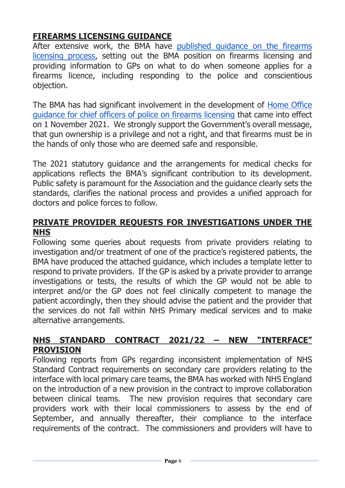# <span id="page-5-0"></span>**FIREARMS LICENSING GUIDANCE**

After extensive work, the BMA have [published guidance on the firearms](https://www.bma.org.uk/advice-and-support/gp-practices/gp-service-provision/the-firearms-licensing-process)  [licensing process,](https://www.bma.org.uk/advice-and-support/gp-practices/gp-service-provision/the-firearms-licensing-process) setting out the BMA position on firearms licensing and providing information to GPs on what to do when someone applies for a firearms licence, including responding to the police and conscientious objection.

The BMA has had significant involvement in the development of [Home Office](https://www.gov.uk/guidance/firearms-licensing-police-guidance)  [guidance for chief officers of police on firearms licensing](https://www.gov.uk/guidance/firearms-licensing-police-guidance) that came into effect on 1 November 2021. We strongly support the Government's overall message, that gun ownership is a privilege and not a right, and that firearms must be in the hands of only those who are deemed safe and responsible.

The 2021 statutory guidance and the arrangements for medical checks for applications reflects the BMA's significant contribution to its development. Public safety is paramount for the Association and the guidance clearly sets the standards, clarifies the national process and provides a unified approach for doctors and police forces to follow.

#### <span id="page-5-1"></span>**PRIVATE PROVIDER REQUESTS FOR INVESTIGATIONS UNDER THE NHS**

Following some queries about requests from private providers relating to investigation and/or treatment of one of the practice's registered patients, the BMA have produced the attached guidance, which includes a template letter to respond to private providers. If the GP is asked by a private provider to arrange investigations or tests, the results of which the GP would not be able to interpret and/or the GP does not feel clinically competent to manage the patient accordingly, then they should advise the patient and the provider that the services do not fall within NHS Primary medical services and to make alternative arrangements.

#### <span id="page-5-2"></span>**NHS STANDARD CONTRACT 2021/22 – NEW "INTERFACE" PROVISION**

Following reports from GPs regarding inconsistent implementation of NHS Standard Contract requirements on secondary care providers relating to the interface with local primary care teams, the BMA has worked with NHS England on the introduction of a new provision in the contract to improve collaboration between clinical teams. The new provision requires that secondary care providers work with their local commissioners to assess by the end of September, and annually thereafter, their compliance to the interface requirements of the contract. The commissioners and providers will have to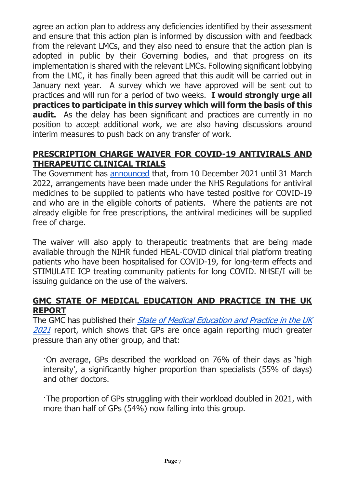agree an action plan to address any deficiencies identified by their assessment and ensure that this action plan is informed by discussion with and feedback from the relevant LMCs, and they also need to ensure that the action plan is adopted in public by their Governing bodies, and that progress on its implementation is shared with the relevant LMCs. Following significant lobbying from the LMC, it has finally been agreed that this audit will be carried out in January next year. A survey which we have approved will be sent out to practices and will run for a period of two weeks. **I would strongly urge all practices to participate in this survey which will form the basis of this audit.** As the delay has been significant and practices are currently in no position to accept additional work, we are also having discussions around interim measures to push back on any transfer of work.

## **PRESCRIPTION CHARGE WAIVER FOR COVID-19 ANTIVIRALS AND THERAPEUTIC CLINICAL TRIALS**

The Government has [announced](https://www.gov.uk/government/news/prescription-charge-waiver-for-covid-19-antivirals-and-therapeutic-clinical-trials) that, from 10 December 2021 until 31 March 2022, arrangements have been made under the NHS Regulations for antiviral medicines to be supplied to patients who have tested positive for COVID-19 and who are in the eligible cohorts of patients. Where the patients are not already eligible for free prescriptions, the antiviral medicines will be supplied free of charge.

The waiver will also apply to therapeutic treatments that are being made available through the NIHR funded HEAL-COVID clinical trial platform treating patients who have been hospitalised for COVID-19, for long-term effects and STIMULATE ICP treating community patients for long COVID. NHSE/I will be issuing guidance on the use of the waivers.

#### <span id="page-6-0"></span>**GMC STATE OF MEDICAL EDUCATION AND PRACTICE IN THE UK REPORT**

The GMC has published their *State of Medical Education and Practice in the UK* [2021](https://www.gmc-uk.org/about/what-we-do-and-why/data-and-research/the-state-of-medical-education-and-practice-in-the-uk) report, which shows that GPs are once again reporting much greater pressure than any other group, and that:

·On average, GPs described the workload on 76% of their days as 'high intensity', a significantly higher proportion than specialists (55% of days) and other doctors.

·The proportion of GPs struggling with their workload doubled in 2021, with more than half of GPs (54%) now falling into this group.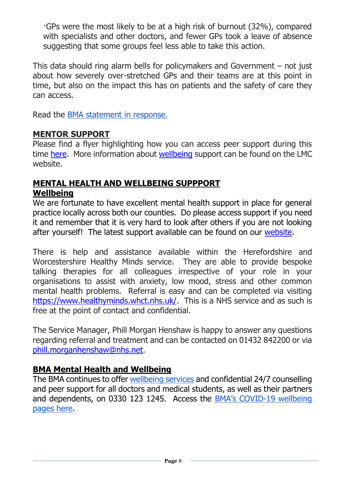·GPs were the most likely to be at a high risk of burnout (32%), compared with specialists and other doctors, and fewer GPs took a leave of absence suggesting that some groups feel less able to take this action.

This data should ring alarm bells for policymakers and Government – not just about how severely over-stretched GPs and their teams are at this point in time, but also on the impact this has on patients and the safety of care they can access.

Read the [BMA statement in response.](https://www.bma.org.uk/bma-media-centre/gmc-report-underlines-devastating-impact-of-pandemic-on-the-medical-workforce-says-bma)

#### <span id="page-7-0"></span>**MENTOR SUPPORT**

Please find a flyer highlighting how you can access peer support during this time [here.](https://www.worcslmc.co.uk/cache/downloads/Multi-Prof-Mentoring---FINAL.pdf) More information about [wellbeing](https://www.worcslmc.co.uk/) support can be found on the LMC website.

#### <span id="page-7-1"></span>**MENTAL HEALTH AND WELLBEING SUPPPORT Wellbeing**

We are fortunate to have excellent mental health support in place for general practice locally across both our counties. Do please access support if you need it and remember that it is very hard to look after others if you are not looking after yourself! The latest support available can be found on our [website.](https://www.worcslmc.co.uk/)

There is help and assistance available within the Herefordshire and Worcestershire Healthy Minds service. They are able to provide bespoke talking therapies for all colleagues irrespective of your role in your organisations to assist with anxiety, low mood, stress and other common mental health problems. Referral is easy and can be completed via visiting [https://www.healthyminds.whct.nhs.uk/.](https://www.healthyminds.whct.nhs.uk/) This is a NHS service and as such is free at the point of contact and confidential.

The Service Manager, Phill Morgan Henshaw is happy to answer any questions regarding referral and treatment and can be contacted on 01432 842200 or via [phill.morganhenshaw@nhs.net.](mailto:phill.morganhenshaw@nhs.net)

## **BMA Mental Health and Wellbeing**

The BMA continues to offer [wellbeing services](https://www.bma.org.uk/advice-and-support/your-wellbeing#wellbeing-support-services) and confidential 24/7 counselling and peer support for all doctors and medical students, as well as their partners and dependents, on 0330 123 1245. Access the BMA's COVID[-19 wellbeing](https://www.bma.org.uk/advice-and-support/covid-19/your-health/covid-19-your-wellbeing)  [pages here.](https://www.bma.org.uk/advice-and-support/covid-19/your-health/covid-19-your-wellbeing)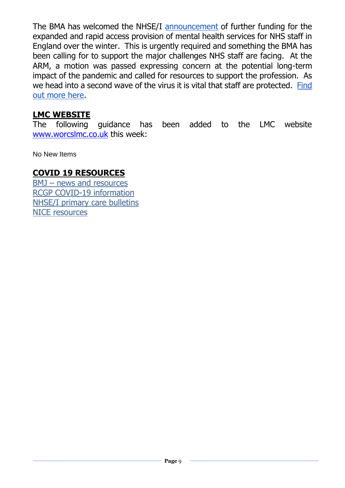The BMA has welcomed the NHSE/I [announcement](https://www.england.nhs.uk/2020/10/strengthening-mental-health-support-for-staff/) of further funding for the expanded and rapid access provision of mental health services for NHS staff in England over the winter. This is urgently required and something the BMA has been calling for to support the major challenges NHS staff are facing. At the ARM, a motion was passed expressing concern at the potential long-term impact of the pandemic and called for resources to support the profession. As we head into a second wave of the virus it is vital that staff are protected. [Find](https://people.nhs.uk/)  [out more here.](https://people.nhs.uk/)

#### <span id="page-8-0"></span>**LMC WEBSITE**

The following guidance has been added to the LMC website [www.worcslmc.co.uk](http://www.worcslmc.co.uk/) this week:

No New Items

#### <span id="page-8-1"></span>**COVID 19 RESOURCES**

BMJ – [news and resources](https://www.bmj.com/coronavirus) [RCGP COVID-19 information](https://www.rcgp.org.uk/policy/rcgp-policy-areas/covid-19-coronavirus.aspx) [NHSE/I primary care bulletins](https://www.england.nhs.uk/coronavirus/primary-care/other-resources/primary-care-bulletin/) [NICE resources](https://nhsconfed.us16.list-manage.com/track/click?u=feeeed3bba7c179fd3a7ef554&id=0017c62a07&e=d3deb28f87)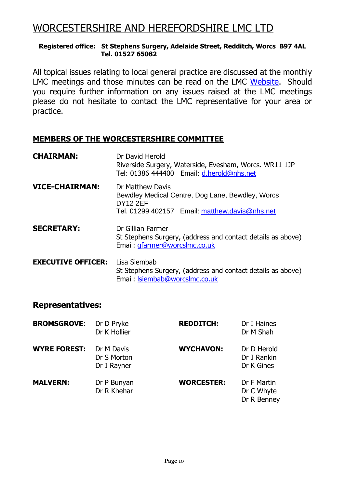# WORCESTERSHIRE AND HEREFORDSHIRE LMC LTD

#### **Registered office: St Stephens Surgery, Adelaide Street, Redditch, Worcs B97 4AL Tel. 01527 65082**

All topical issues relating to local general practice are discussed at the monthly LMC meetings and those minutes can be read on the LMC [Website.](https://www.worcslmc.co.uk/pages/lmc-meetings) Should you require further information on any issues raised at the LMC meetings please do not hesitate to contact the LMC representative for your area or practice.

#### **MEMBERS OF THE WORCESTERSHIRE COMMITTEE**

| <b>CHAIRMAN:</b>          | Dr David Herold<br>Riverside Surgery, Waterside, Evesham, Worcs. WR11 1JP<br>Tel: 01386 444400 Email: d.herold@nhs.net                    |  |
|---------------------------|-------------------------------------------------------------------------------------------------------------------------------------------|--|
| <b>VICE-CHAIRMAN:</b>     | Dr Matthew Davis<br>Bewdley Medical Centre, Dog Lane, Bewdley, Worcs<br><b>DY12 2EF</b><br>Tel. 01299 402157 Email: matthew.davis@nhs.net |  |
| <b>SECRETARY:</b>         | Dr Gillian Farmer<br>St Stephens Surgery, (address and contact details as above)<br>Email: gfarmer@worcslmc.co.uk                         |  |
| <b>EXECUTIVE OFFICER:</b> | Lisa Siembab<br>St Stephens Surgery, (address and contact details as above)<br>Email: Isiembab@worcsImc.co.uk                             |  |

#### **Representatives:**

| <b>BROMSGROVE:</b>  | Dr D Pryke<br>Dr K Hollier               | <b>REDDITCH:</b>  | Dr I Haines<br>Dr M Shah                 |
|---------------------|------------------------------------------|-------------------|------------------------------------------|
| <b>WYRE FOREST:</b> | Dr M Davis<br>Dr S Morton<br>Dr J Rayner | <b>WYCHAVON:</b>  | Dr D Herold<br>Dr J Rankin<br>Dr K Gines |
| <b>MALVERN:</b>     | Dr P Bunyan<br>Dr R Khehar               | <b>WORCESTER:</b> | Dr F Martin<br>Dr C Whyte<br>Dr R Benney |